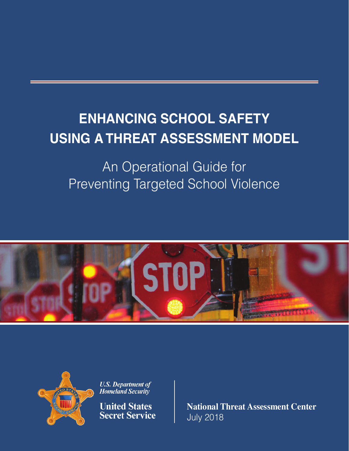# **ENHANCING SCHOOL SAFETY USING A THREAT ASSESSMENT MODEL**

# An Operational Guide for Preventing Targeted School Violence





**U.S. Department of Homeland Security** 

**United States Secret Service**  **National Threat Assessment Center**  July 2018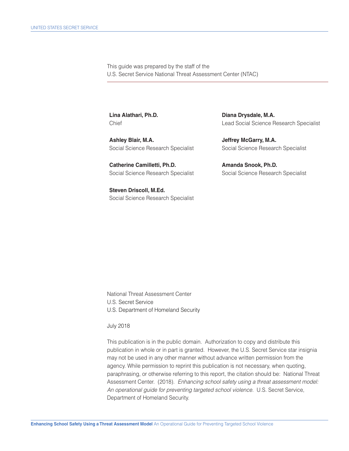This guide was prepared by the staff of the U.S. Secret Service National Threat Assessment Center (NTAC)

Ashley Blair, M.A. **In the Contract of Ashley Blair, M.A.** Social Science Research Specialist Social Science Research Specialist

Catherine Camilletti, Ph.D. **Amanda Snook, Ph.D.** 

**Steven Driscoll, M.Ed.**  Social Science Research Specialist

Lina Alathari, Ph.D. **Diana Drysdale, M.A. Diana Drysdale**, M.A. Chief Lead Social Science Research Specialist

Social Science Research Specialist Social Science Research Specialist

National Threat Assessment Center U.S. Secret Service U.S. Department of Homeland Security

July 2018

This publication is in the public domain. Authorization to copy and distribute this publication in whole or in part is granted. However, the U.S. Secret Service star insignia may not be used in any other manner without advance written permission from the agency. While permission to reprint this publication is not necessary, when quoting, paraphrasing, or otherwise referring to this report, the citation should be: National Threat Assessment Center. (2018). *Enhancing school safety using a threat assessment model: An operational guide for preventing targeted school violence.* U.S. Secret Service, Department of Homeland Security.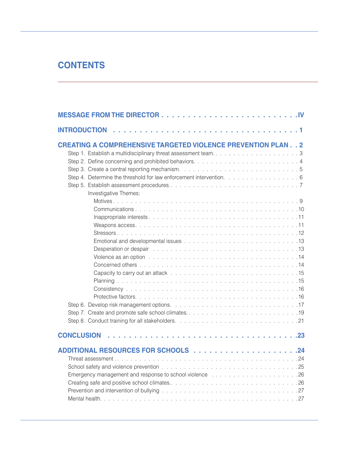# **CONTENTS**

| <b>INTRODUCTION</b>                                                                                                                                                                                                           |
|-------------------------------------------------------------------------------------------------------------------------------------------------------------------------------------------------------------------------------|
| <b>CREATING A COMPREHENSIVE TARGETED VIOLENCE PREVENTION PLAN 2</b><br>Step 1. Establish a multidisciplinary threat assessment team3                                                                                          |
|                                                                                                                                                                                                                               |
| Step 4. Determine the threshold for law enforcement intervention. 6                                                                                                                                                           |
|                                                                                                                                                                                                                               |
| Investigative Themes:                                                                                                                                                                                                         |
|                                                                                                                                                                                                                               |
|                                                                                                                                                                                                                               |
|                                                                                                                                                                                                                               |
|                                                                                                                                                                                                                               |
|                                                                                                                                                                                                                               |
|                                                                                                                                                                                                                               |
| Desperation or despair research and contact the contract of the contract of the contract of the contract of the                                                                                                               |
| Violence as an option enterpreteration of the contract of the contract of the contract of the contract of the contract of the contract of the contract of the contract of the contract of the contract of the contract of the |
|                                                                                                                                                                                                                               |
|                                                                                                                                                                                                                               |
|                                                                                                                                                                                                                               |
|                                                                                                                                                                                                                               |
|                                                                                                                                                                                                                               |
|                                                                                                                                                                                                                               |
|                                                                                                                                                                                                                               |
|                                                                                                                                                                                                                               |
| <b>CONCLUSION</b>                                                                                                                                                                                                             |
|                                                                                                                                                                                                                               |
|                                                                                                                                                                                                                               |
|                                                                                                                                                                                                                               |
| Emergency management and response to school violence with a subset of the state of the School violence with the state of the state of the School School and School and School and School and School and School and School and |
|                                                                                                                                                                                                                               |
|                                                                                                                                                                                                                               |
|                                                                                                                                                                                                                               |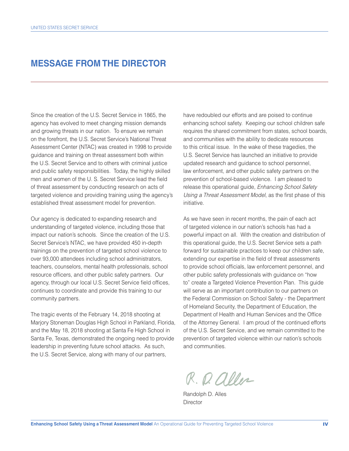### **MESSAGE FROM THE DIRECTOR**

Since the creation of the U.S. Secret Service in 1865, the agency has evolved to meet changing mission demands and growing threats in our nation. To ensure we remain on the forefront, the U.S. Secret Service's National Threat Assessment Center (NTAC) was created in 1998 to provide guidance and training on threat assessment both within the U.S. Secret Service and to others with criminal justice and public safety responsibilities. Today, the highly skilled men and women of the U.S. Secret Service lead the field of threat assessment by conducting research on acts of targeted violence and providing training using the agency's established threat assessment model for prevention.

Our agency is dedicated to expanding research and understanding of targeted violence, including those that impact our nation's schools. Since the creation of the U.S. Secret Service's NTAC, we have provided 450 in-depth trainings on the prevention of targeted school violence to over 93,000 attendees including school administrators, teachers, counselors, mental health professionals, school resource officers, and other public safety partners. Our agency, through our local U.S. Secret Service field offices, continues to coordinate and provide this training to our community partners.

The tragic events of the February 14, 2018 shooting at Marjory Stoneman Douglas High School in Parkland, Florida, and the May 18, 2018 shooting at Santa Fe High School in Santa Fe, Texas, demonstrated the ongoing need to provide leadership in preventing future school attacks. As such, the U.S. Secret Service, along with many of our partners,

have redoubled our efforts and are poised to continue enhancing school safety. Keeping our school children safe requires the shared commitment from states, school boards, and communities with the ability to dedicate resources to this critical issue. In the wake of these tragedies, the U.S. Secret Service has launched an initiative to provide updated research and guidance to school personnel, law enforcement, and other public safety partners on the prevention of school-based violence. I am pleased to release this operational guide, *Enhancing School Safety*  Using a Threat Assessment Model, as the first phase of this initiative.

As we have seen in recent months, the pain of each act of targeted violence in our nation's schools has had a powerful impact on all. With the creation and distribution of this operational guide, the U.S. Secret Service sets a path forward for sustainable practices to keep our children safe, extending our expertise in the field of threat assessments to provide school officials, law enforcement personnel, and other public safety professionals with guidance on "how to" create a Targeted Violence Prevention Plan. This guide will serve as an important contribution to our partners on the Federal Commission on School Safety - the Department of Homeland Security, the Department of Education, the Department of Health and Human Services and the Office of the Attorney General. I am proud of the continued efforts of the U.S. Secret Service, and we remain committed to the prevention of targeted violence within our nation's schools and communities.

R. D. aller

Randolph D. Alles **Director**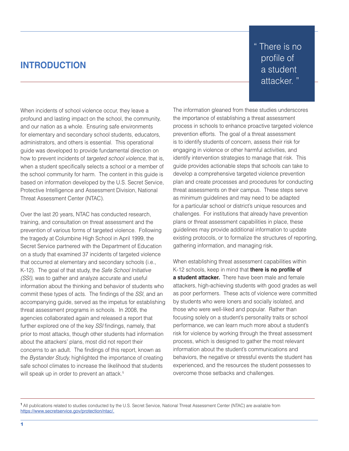### **INTRODUCTION**

 " There is no profile of a student attacker. "

When incidents of school violence occur, they leave a profound and lasting impact on the school, the community, and our nation as a whole. Ensuring safe environments for elementary and secondary school students, educators, administrators, and others is essential. This operational guide was developed to provide fundamental direction on how to prevent incidents of *targeted school violence,* that is, when a student specifically selects a school or a member of the school community for harm. The content in this guide is based on information developed by the U.S. Secret Service, Protective Intelligence and Assessment Division, National Threat Assessment Center (NTAC).

Over the last 20 years, NTAC has conducted research, training, and consultation on threat assessment and the prevention of various forms of targeted violence. Following the tragedy at Columbine High School in April 1999, the Secret Service partnered with the Department of Education on a study that examined 37 incidents of targeted violence that occurred at elementary and secondary schools (i.e., K-12). The goal of that study, the *Safe School Initiative (SSI),* was to gather and analyze accurate and useful information about the thinking and behavior of students who commit these types of acts. The fndings of the *SSI,* and an accompanying guide, served as the impetus for establishing threat assessment programs in schools. In 2008, the agencies collaborated again and released a report that further explored one of the key *SSI* findings, namely, that prior to most attacks, though other students had information about the attackers' plans, most did not report their concerns to an adult. The findings of this report, known as the *Bystander Study,* highlighted the importance of creating safe school climates to increase the likelihood that students will speak up in order to prevent an attack.<sup>1</sup>

The information gleaned from these studies underscores the importance of establishing a threat assessment process in schools to enhance proactive targeted violence prevention efforts. The goal of a threat assessment is to identify students of concern, assess their risk for engaging in violence or other harmful activities, and identify intervention strategies to manage that risk. This guide provides actionable steps that schools can take to develop a comprehensive targeted violence prevention plan and create processes and procedures for conducting threat assessments on their campus. These steps serve as minimum guidelines and may need to be adapted for a particular school or district's unique resources and challenges. For institutions that already have prevention plans or threat assessment capabilities in place, these guidelines may provide additional information to update existing protocols, or to formalize the structures of reporting, gathering information, and managing risk.

 **a student attacker.** There have been male and female When establishing threat assessment capabilities within K-12 schools, keep in mind that **there is no profle of**  attackers, high-achieving students with good grades as well as poor performers. These acts of violence were committed by students who were loners and socially isolated, and those who were well-liked and popular. Rather than focusing solely on a student's personality traits or school performance, we can learn much more about a student's risk for violence by working through the threat assessment process, which is designed to gather the most relevant information about the student's communications and behaviors, the negative or stressful events the student has experienced, and the resources the student possesses to overcome those setbacks and challenges.

**<sup>1</sup>**All publications related to studies conducted by the U.S. Secret Service, National Threat Assessment Center (NTAC) are available from https://www.secretservice.gov/protection/ntac/.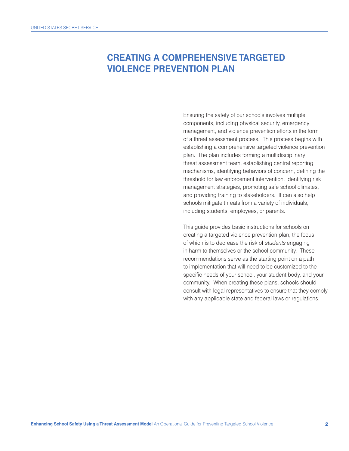### **CREATING A COMPREHENSIVE TARGETED VIOLENCE PREVENTION PLAN**

Ensuring the safety of our schools involves multiple components, including physical security, emergency management, and violence prevention efforts in the form of a threat assessment process. This process begins with establishing a comprehensive targeted violence prevention plan. The plan includes forming a multidisciplinary threat assessment team, establishing central reporting mechanisms, identifying behaviors of concern, defining the threshold for law enforcement intervention, identifying risk management strategies, promoting safe school climates, and providing training to stakeholders. It can also help schools mitigate threats from a variety of individuals, including students, employees, or parents.

This guide provides basic instructions for schools on creating a targeted violence prevention plan, the focus of which is to decrease the risk of *students* engaging in harm to themselves or the school community. These recommendations serve as the starting point on a path to implementation that will need to be customized to the specific needs of your school, your student body, and your community. When creating these plans, schools should consult with legal representatives to ensure that they comply with any applicable state and federal laws or regulations.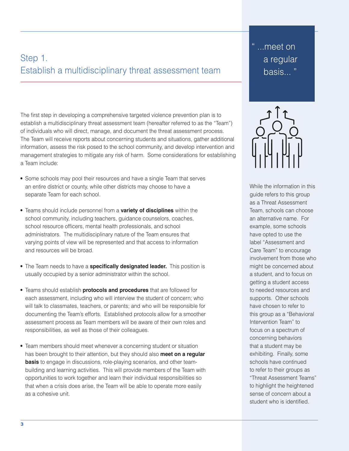# Step 1. Establish a multidisciplinary threat assessment team

The first step in developing a comprehensive targeted violence prevention plan is to establish a multidisciplinary threat assessment team (hereafter referred to as the "Team") of individuals who will direct, manage, and document the threat assessment process. The Team will receive reports about concerning students and situations, gather additional information, assess the risk posed to the school community, and develop intervention and management strategies to mitigate any risk of harm. Some considerations for establishing a Team include:

- Some schools may pool their resources and have a single Team that serves an entire district or county, while other districts may choose to have a separate Team for each school.
- Teams should include personnel from a **variety of disciplines** within the school community, including teachers, guidance counselors, coaches, school resource officers, mental health professionals, and school administrators. The multidisciplinary nature of the Team ensures that varying points of view will be represented and that access to information and resources will be broad.
- The Team needs to have a **specifcally designated leader.** This position is usually occupied by a senior administrator within the school.
- Teams should establish **protocols and procedures** that are followed for each assessment, including who will interview the student of concern; who will talk to classmates, teachers, or parents; and who will be responsible for documenting the Team's efforts. Established protocols allow for a smoother assessment process as Team members will be aware of their own roles and responsibilities, as well as those of their colleagues.
- Team members should meet whenever a concerning student or situation has been brought to their attention, but they should also **meet on a regular basis** to engage in discussions, role-playing scenarios, and other teambuilding and learning activities. This will provide members of the Team with opportunities to work together and learn their individual responsibilities so that when a crisis does arise, the Team will be able to operate more easily as a cohesive unit.

" ...meet on a regular basis... "



While the information in this guide refers to this group as a Threat Assessment Team, schools can choose an alternative name. For example, some schools have opted to use the label "Assessment and Care Team" to encourage involvement from those who might be concerned about a student, and to focus on getting a student access to needed resources and supports. Other schools have chosen to refer to this group as a "Behavioral Intervention Team" to focus on a spectrum of concerning behaviors that a student may be exhibiting. Finally, some schools have continued to refer to their groups as "Threat Assessment Teams" to highlight the heightened sense of concern about a student who is identifed.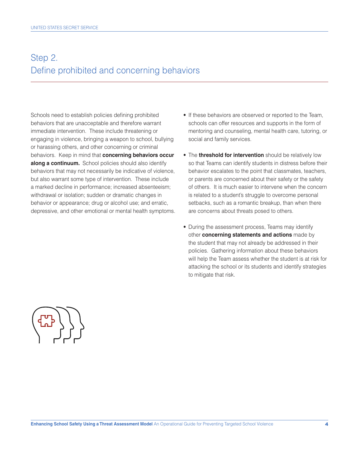# Step 2. Define prohibited and concerning behaviors

 **along a continuum.** School policies should also identify Schools need to establish policies defining prohibited behaviors that are unacceptable and therefore warrant immediate intervention. These include threatening or engaging in violence, bringing a weapon to school, bullying or harassing others, and other concerning or criminal behaviors. Keep in mind that **concerning behaviors occur**  behaviors that may not necessarily be indicative of violence, but also warrant some type of intervention. These include a marked decline in performance; increased absenteeism; withdrawal or isolation; sudden or dramatic changes in behavior or appearance; drug or alcohol use; and erratic, depressive, and other emotional or mental health symptoms.

- If these behaviors are observed or reported to the Team, schools can offer resources and supports in the form of mentoring and counseling, mental health care, tutoring, or social and family services.
- The **threshold for intervention** should be relatively low so that Teams can identify students in distress before their behavior escalates to the point that classmates, teachers, or parents are concerned about their safety or the safety of others. It is much easier to intervene when the concern is related to a student's struggle to overcome personal setbacks, such as a romantic breakup, than when there are concerns about threats posed to others.
- During the assessment process, Teams may identify other **concerning statements and actions** made by the student that may not already be addressed in their policies. Gathering information about these behaviors will help the Team assess whether the student is at risk for attacking the school or its students and identify strategies to mitigate that risk.

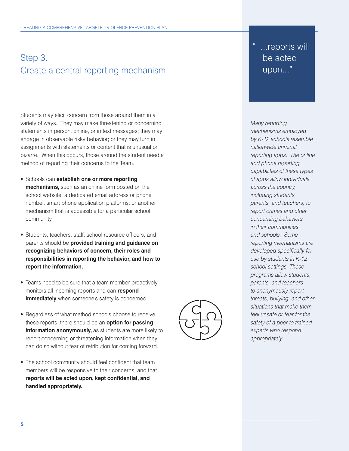# Step 3. Create a central reporting mechanism

Students may elicit concern from those around them in a variety of ways. They may make threatening or concerning statements in person, online, or in text messages; they may engage in observable risky behavior; or they may turn in assignments with statements or content that is unusual or bizarre. When this occurs, those around the student need a method of reporting their concerns to the Team.

- Schools can **establish one or more reporting mechanisms,** such as an online form posted on the school website, a dedicated email address or phone number, smart phone application platforms, or another mechanism that is accessible for a particular school community.
- Students, teachers, staff, school resource officers, and parents should be **provided training and guidance on recognizing behaviors of concern, their roles and responsibilities in reporting the behavior, and how to report the information.**
- Teams need to be sure that a team member proactively monitors all incoming reports and can **respond immediately** when someone's safety is concerned.
- Regardless of what method schools choose to receive these reports, there should be an **option for passing information anonymously,** as students are more likely to report concerning or threatening information when they can do so without fear of retribution for coming forward.
- The school community should feel confident that team members will be responsive to their concerns, and that **reports will be acted upon, kept confdential, and handled appropriately.**



" ...reports will be acted upon..."

*Many reporting mechanisms employed by K-12 schools resemble nationwide criminal reporting apps. The online and phone reporting capabilities of these types of apps allow individuals across the country, including students, parents, and teachers, to report crimes and other concerning behaviors in their communities and schools. Some reporting mechanisms are developed specifcally for use by students in K-12 school settings. These programs allow students, parents, and teachers to anonymously report threats, bullying, and other situations that make them feel unsafe or fear for the safety of a peer to trained experts who respond appropriately.*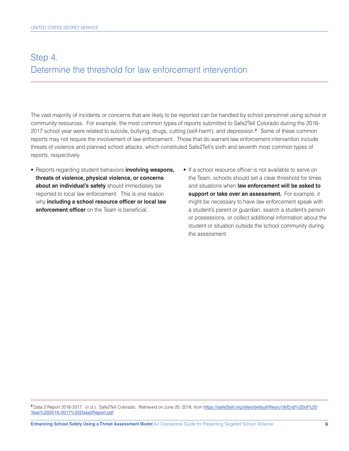# Step 4. Determine the threshold for law enforcement intervention

The vast majority of incidents or concerns that are likely to be reported can be handled by school personnel using school or community resources. For example, the most common types of reports submitted to Safe2Tell Colorado during the 2016- 2017 school year were related to suicide, bullying, drugs, cutting (self-harm), and depression.**<sup>2</sup>**Some of these common reports may not require the involvement of law enforcement. Those that do warrant law enforcement intervention include threats of violence and planned school attacks, which constituted Safe2Tell's sixth and seventh most common types of reports, respectively.

- reported to local law enforcement. This is one reason **support or take over an assessment.** For example, it • Reports regarding student behaviors **involving weapons,** • If a school resource officer is not available to serve on **threats of violence, physical violence, or concerns** the Team, schools should set a clear threshold for times **about an individual's safety** should immediately be and situations when **law enforcement will be asked to** 
	- why **including a school resource officer or local law** might be necessary to have law enforcement speak with **enforcement officer** on the Team is beneficial. **a** student's parent or guardian, search a student's person or possessions, or collect additional information about the student or situation outside the school community during the assessment.

**<sup>2</sup>**Data 2 Report 2016-2017. (n.d.). Safe2Tell Colorado. Retrieved on June 20, 2018, from https://safe2tell.org/sites/default/files/u18/End%20of%20 Year%202016-2017%20Data2Report.pdf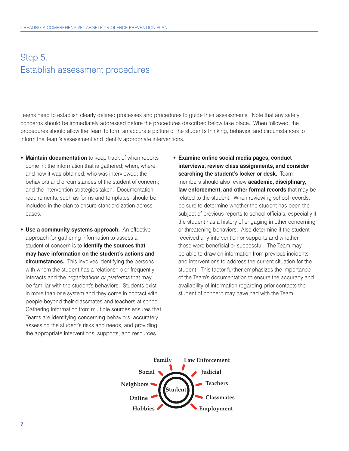### Step 5. Establish assessment procedures

Teams need to establish clearly defned processes and procedures to guide their assessments. Note that any safety concerns should be immediately addressed before the procedures described below take place. When followed, the procedures should allow the Team to form an accurate picture of the student's thinking, behavior, and circumstances to inform the Team's assessment and identify appropriate interventions.

- **Maintain documentation** to keep track of when reports come in; the information that is gathered; when, where, and how it was obtained; who was interviewed; the behaviors and circumstances of the student of concern; and the intervention strategies taken. Documentation requirements, such as forms and templates, should be included in the plan to ensure standardization across cases.
- **Use a community systems approach.** An effective  **circumstances.** This involves identifying the persons approach for gathering information to assess a student of concern is to **identify the sources that may have information on the student's actions and**  with whom the student has a relationship or frequently interacts and the *organizations or platforms* that may be familiar with the student's behaviors. Students exist in more than one system and they come in contact with people beyond their classmates and teachers at school. Gathering information from multiple sources ensures that Teams are identifying concerning behaviors, accurately assessing the student's risks and needs, and providing the appropriate interventions, supports, and resources.
- **searching the student's locker or desk.** Team • **Examine online social media pages, conduct interviews, review class assignments, and consider**  members should also review **academic, disciplinary, law enforcement, and other formal records** that may be related to the student. When reviewing school records, be sure to determine whether the student has been the subject of previous reports to school officials, especially if the student has a history of engaging in other concerning or threatening behaviors. Also determine if the student received any intervention or supports and whether those were beneficial or successful. The Team may be able to draw on information from previous incidents and interventions to address the current situation for the student. This factor further emphasizes the importance of the Team's documentation to ensure the accuracy and availability of information regarding prior contacts the student of concern may have had with the Team.

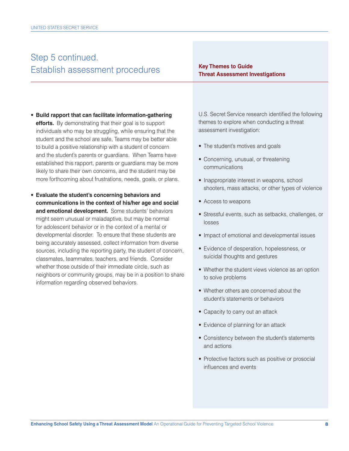# Step 5 continued. **Key Themes to Guide Establish assessment procedures Threat Assessment Investigations**

- **efforts.** By demonstrating that their goal is to support • **Build rapport that can facilitate information-gathering**  individuals who may be struggling, while ensuring that the student and the school are safe, Teams may be better able to build a positive relationship with a student of concern and the student's parents or guardians. When Teams have established this rapport, parents or guardians may be more likely to share their own concerns, and the student may be more forthcoming about frustrations, needs, goals, or plans.
- **and emotional development.** Some students' behaviors • **Evaluate the student's concerning behaviors and communications in the context of his/her age and social**  might seem unusual or maladaptive, but may be normal for adolescent behavior or in the context of a mental or developmental disorder. To ensure that these students are being accurately assessed, collect information from diverse sources, including the reporting party, the student of concern, classmates, teammates, teachers, and friends. Consider whether those outside of their immediate circle, such as neighbors or community groups, may be in a position to share information regarding observed behaviors.

U.S. Secret Service research identifed the following themes to explore when conducting a threat assessment investigation:

- The student's motives and goals
- Concerning, unusual, or threatening communications
- Inappropriate interest in weapons, school shooters, mass attacks, or other types of violence
- Access to weapons
- Stressful events, such as setbacks, challenges, or losses
- Impact of emotional and developmental issues
- Evidence of desperation, hopelessness, or suicidal thoughts and gestures
- Whether the student views violence as an option to solve problems
- Whether others are concerned about the student's statements or behaviors
- Capacity to carry out an attack
- Evidence of planning for an attack
- Consistency between the student's statements and actions
- Protective factors such as positive or prosocial infuences and events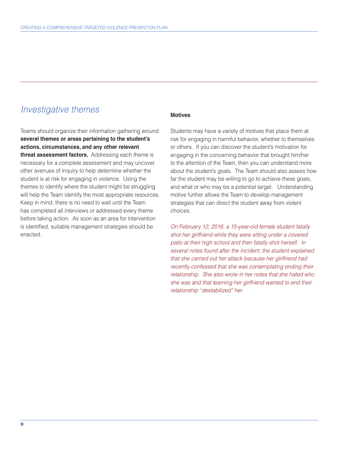### *Investigative themes*

 **threat assessment factors.** Addressing each theme is Teams should organize their information gathering around **several themes or areas pertaining to the student's actions, circumstances, and any other relevant**  necessary for a complete assessment and may uncover other avenues of inquiry to help determine whether the student is at risk for engaging in violence. Using the themes to identify where the student might be struggling will help the Team identify the most appropriate resources. Keep in mind, there is no need to wait until the Team has completed all interviews or addressed every theme before taking action. As soon as an area for intervention is identifed, suitable management strategies should be enacted.

#### **Motives**

Students may have a variety of motives that place them at risk for engaging in harmful behavior, whether to themselves or others. If you can discover the student's motivation for engaging in the concerning behavior that brought him/her to the attention of the Team, then you can understand more about the student's goals. The Team should also assess how far the student may be willing to go to achieve these goals, and what or who may be a potential target. Understanding motive further allows the Team to develop management strategies that can direct the student away from violent choices.

*On February 12, 2016, a 15-year-old female student fatally shot her girlfriend while they were sitting under a covered patio at their high school and then fatally shot herself. In several notes found after the incident, the student explained that she carried out her attack because her girlfriend had recently confessed that she was contemplating ending their relationship. She also wrote in her notes that she hated who she was and that learning her girlfriend wanted to end their relationship "destabilized" her.*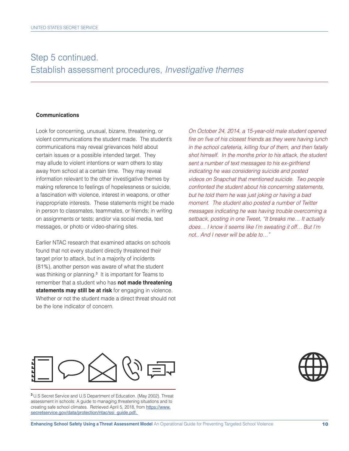### Step 5 continued. Establish assessment procedures, *Investigative themes*

#### **Communications**

Look for concerning, unusual, bizarre, threatening, or violent communications the student made. The student's communications may reveal grievances held about certain issues or a possible intended target. They may allude to violent intentions or warn others to stay away from school at a certain time. They may reveal information relevant to the other investigative themes by making reference to feelings of hopelessness or suicide, a fascination with violence, interest in weapons, or other inappropriate interests. These statements might be made in person to classmates, teammates, or friends; in writing on assignments or tests; and/or via social media, text messages, or photo or video-sharing sites.

Earlier NTAC research that examined attacks on schools found that not every student directly threatened their target prior to attack, but in a majority of incidents (81%), another person was aware of what the student was thinking or planning.<sup>3</sup> It is important for Teams to remember that a student who has **not made threatening statements may still be at risk** for engaging in violence. Whether or not the student made a direct threat should not be the lone indicator of concern.

*On October 24, 2014, a 15-year-old male student opened fire on five of his closest friends as they were having lunch in the school cafeteria, killing four of them, and then fatally shot himself. In the months prior to his attack, the student sent a number of text messages to his ex-girlfriend indicating he was considering suicide and posted videos on Snapchat that mentioned suicide. Two people confronted the student about his concerning statements, but he told them he was just joking or having a bad moment. The student also posted a number of Twitter messages indicating he was having trouble overcoming a setback, posting in one Tweet, "It breaks me… It actually does… I know it seems like I'm sweating it off… But I'm not.. And I never will be able to…"* 



**<sup>3</sup>**U.S Secret Service and U.S Department of Education. (May 2002). Threat assessment in schools: A guide to managing threatening situations and to creating safe school climates. Retrieved April 5, 2018, from https://www. secretservice.gov/data/protection/ntac/ssi\_guide.pdf.

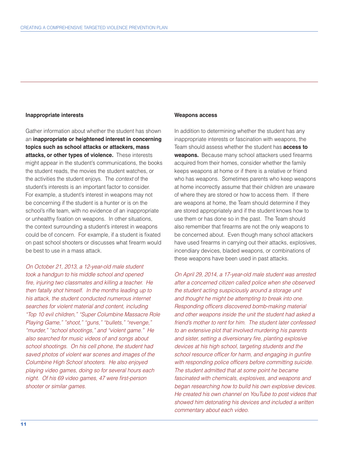#### **Inappropriate interests**

 **attacks, or other types of violence.** These interests Gather information about whether the student has shown an **inappropriate or heightened interest in concerning topics such as school attacks or attackers, mass**  might appear in the student's communications, the books the student reads, the movies the student watches, or the activities the student enjoys. The *context* of the student's interests is an important factor to consider. For example, a student's interest in weapons may not be concerning if the student is a hunter or is on the school's rifle team, with no evidence of an inappropriate or unhealthy fixation on weapons. In other situations, the context surrounding a student's interest in weapons could be of concern. For example, if a student is fixated on past school shooters or discusses what frearm would be best to use in a mass attack.

*On October 21, 2013, a 12-year-old male student took a handgun to his middle school and opened fre, injuring two classmates and killing a teacher. He then fatally shot himself. In the months leading up to his attack, the student conducted numerous internet searches for violent material and content, including "Top 10 evil children," "Super Columbine Massacre Role Playing Game," "shoot," "guns," "bullets," "revenge," "murder," "school shootings," and "violent game." He also searched for music videos of and songs about school shootings. On his cell phone, the student had saved photos of violent war scenes and images of the Columbine High School shooters. He also enjoyed playing video games, doing so for several hours each night. Of his 69 video games, 47 were frst-person shooter or similar games.* 

#### **Weapons access**

In addition to determining whether the student has any inappropriate interests or fascination with weapons, the Team should assess whether the student has **access to**  weapons. Because many school attackers used firearms acquired from their homes, consider whether the family keeps weapons at home or if there is a relative or friend who has weapons. Sometimes parents who keep weapons at home incorrectly assume that their children are unaware of where they are stored or how to access them. If there are weapons at home, the Team should determine if they are stored appropriately and if the student knows how to use them or has done so in the past. The Team should also remember that firearms are not the only weapons to be concerned about. Even though many school attackers have used firearms in carrying out their attacks, explosives, incendiary devices, bladed weapons, or combinations of these weapons have been used in past attacks.

*On April 29, 2014, a 17-year-old male student was arrested after a concerned citizen called police when she observed the student acting suspiciously around a storage unit and thought he might be attempting to break into one. Responding officers discovered bomb-making material and other weapons inside the unit the student had asked a friend's mother to rent for him. The student later confessed to an extensive plot that involved murdering his parents*  and sister, setting a diversionary fire, planting explosive *devices at his high school, targeting students and the*  school resource officer for harm, and engaging in gunfire with responding police officers before committing suicide. *The student admitted that at some point he became fascinated with chemicals, explosives, and weapons and began researching how to build his own explosive devices. He created his own channel on YouTube to post videos that showed him detonating his devices and included a written commentary about each video.*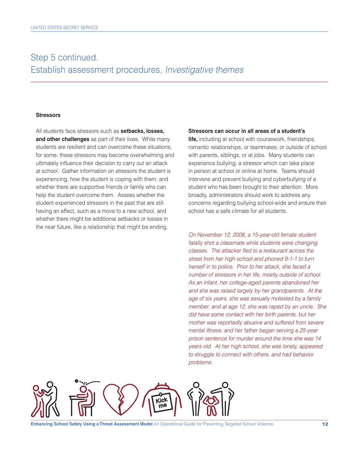### Step 5 continued. Establish assessment procedures, *Investigative themes*

#### **Stressors**

All students face stressors such as **setbacks, losses, and other challenges** as part of their lives. While many students are resilient and can overcome these situations, for some, these stressors may become overwhelming and ultimately infuence their decision to carry out an attack at school. Gather information on stressors the student is experiencing, how the student is coping with them, and whether there are supportive friends or family who can help the student overcome them. Assess whether the student experienced stressors in the past that are still having an effect, such as a move to a new school, and whether there might be additional setbacks or losses in the near future, like a relationship that might be ending.

#### **Stressors can occur in all areas of a student's**

**life,** including at school with coursework, friendships, romantic relationships, or teammates; or outside of school with parents, siblings, or at jobs. Many students can experience bullying, a stressor which can take place in person at school or online at home. Teams should intervene and prevent bullying and cyberbullying of a student who has been brought to their attention. More broadly, administrators should work to address any concerns regarding bullying school-wide and ensure their school has a safe climate for all students.

*On November 12, 2008, a 15-year-old female student fatally shot a classmate while students were changing classes. The attacker fed to a restaurant across the street from her high school and phoned 9-1-1 to turn herself in to police. Prior to her attack, she faced a number of stressors in her life, mostly outside of school. As an infant, her college-aged parents abandoned her and she was raised largely by her grandparents. At the age of six years, she was sexually molested by a family member; and at age 12, she was raped by an uncle. She did have some contact with her birth parents, but her mother was reportedly abusive and suffered from severe mental illness; and her father began serving a 25-year prison sentence for murder around the time she was 14 years old. At her high school, she was lonely, appeared to struggle to connect with others, and had behavior problems.* 

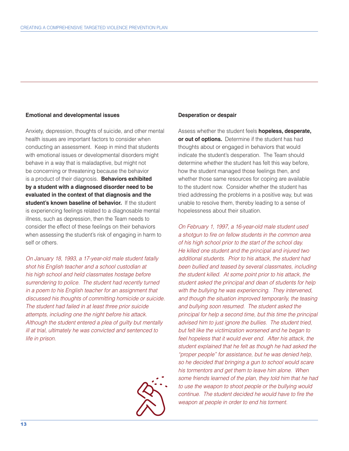#### **Emotional and developmental issues**

 **student's known baseline of behavior.** If the student Anxiety, depression, thoughts of suicide, and other mental health issues are important factors to consider when conducting an assessment. Keep in mind that students with emotional issues or developmental disorders might behave in a way that is maladaptive, but might not be concerning or threatening because the behavior is a product of their diagnosis. **Behaviors exhibited by a student with a diagnosed disorder need to be evaluated in the context of that diagnosis and the**  is experiencing feelings related to a diagnosable mental illness, such as depression, then the Team needs to consider the effect of these feelings on their behaviors when assessing the student's risk of engaging in harm to self or others.

*On January 18, 1993, a 17-year-old male student fatally shot his English teacher and a school custodian at his high school and held classmates hostage before surrendering to police. The student had recently turned in a poem to his English teacher for an assignment that discussed his thoughts of committing homicide or suicide. The student had failed in at least three prior suicide attempts, including one the night before his attack. Although the student entered a plea of guilty but mentally ill at trial, ultimately he was convicted and sentenced to life in prison.* 



#### **Desperation or despair**

 **or out of options.** Determine if the student has had Assess whether the student feels **hopeless, desperate,**  thoughts about or engaged in behaviors that would indicate the student's desperation. The Team should determine whether the student has felt this way before, how the student managed those feelings then, and whether those same resources for coping are available to the student now. Consider whether the student has tried addressing the problems in a positive way, but was unable to resolve them, thereby leading to a sense of hopelessness about their situation.

*On February 1, 1997, a 16-year-old male student used a shotgun to fre on fellow students in the common area of his high school prior to the start of the school day. He killed one student and the principal and injured two additional students. Prior to his attack, the student had been bullied and teased by several classmates, including the student killed. At some point prior to his attack, the student asked the principal and dean of students for help with the bullying he was experiencing. They intervened, and though the situation improved temporarily, the teasing and bullying soon resumed. The student asked the principal for help a second time, but this time the principal advised him to just ignore the bullies. The student tried, but felt like the victimization worsened and he began to feel hopeless that it would ever end. After his attack, the student explained that he felt as though he had asked the "proper people" for assistance, but he was denied help, so he decided that bringing a gun to school would scare his tormentors and get them to leave him alone. When some friends learned of the plan, they told him that he had to use the weapon to shoot people or the bullying would continue. The student decided he would have to fre the weapon at people in order to end his torment.*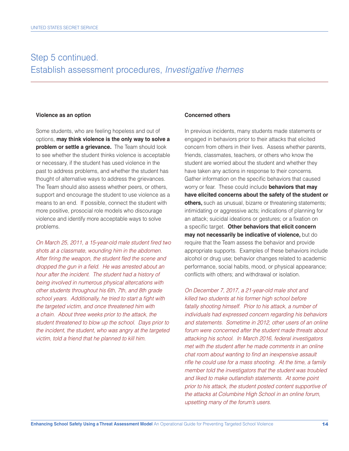### Step 5 continued. Establish assessment procedures, *Investigative themes*

#### **Violence as an option**

 **problem or settle a grievance.** The Team should look Some students, who are feeling hopeless and out of options, **may think violence is the only way to solve a**  to see whether the student thinks violence is acceptable or necessary, if the student has used violence in the past to address problems, and whether the student has thought of alternative ways to address the grievances. The Team should also assess whether peers, or others, support and encourage the student to use violence as a means to an end. If possible, connect the student with more positive, prosocial role models who discourage violence and identify more acceptable ways to solve problems.

*On March 25, 2011, a 15-year-old male student fred two shots at a classmate, wounding him in the abdomen. After fring the weapon, the student fed the scene and dropped the gun in a field. He was arrested about an hour after the incident. The student had a history of being involved in numerous physical altercations with other students throughout his 6th, 7th, and 8th grade*  school years. Additionally, he tried to start a fight with *the targeted victim, and once threatened him with a chain. About three weeks prior to the attack, the student threatened to blow up the school. Days prior to the incident, the student, who was angry at the targeted victim, told a friend that he planned to kill him.* 

#### **Concerned others**

In previous incidents, many students made statements or engaged in behaviors prior to their attacks that elicited concern from others in their lives. Assess whether parents, friends, classmates, teachers, or others who know the student are worried about the student and whether they have taken any actions in response to their concerns. Gather information on the specific behaviors that caused worry or fear. These could include **behaviors that may have elicited concerns about the safety of the student or others,** such as unusual, bizarre or threatening statements; intimidating or aggressive acts; indications of planning for an attack; suicidal ideations or gestures; or a fixation on a specific target. Other behaviors that elicit concern **may not necessarily be indicative of violence,** but do require that the Team assess the behavior and provide appropriate supports. Examples of these behaviors include alcohol or drug use; behavior changes related to academic performance, social habits, mood, or physical appearance; conficts with others; and withdrawal or isolation.

*On December 7, 2017, a 21-year-old male shot and killed two students at his former high school before fatally shooting himself. Prior to his attack, a number of individuals had expressed concern regarding his behaviors and statements. Sometime in 2012, other users of an online forum were concerned after the student made threats about attacking his school. In March 2016, federal investigators met with the student after he made comments in an online chat room about wanting to fnd an inexpensive assault rife he could use for a mass shooting. At the time, a family member told the investigators that the student was troubled and liked to make outlandish statements. At some point prior to his attack, the student posted content supportive of the attacks at Columbine High School in an online forum, upsetting many of the forum's users.*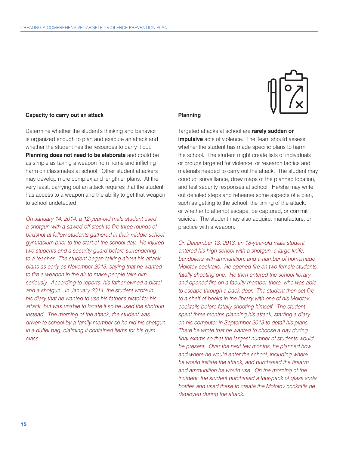#### **Capacity to carry out an attack**

Determine whether the student's thinking and behavior is organized enough to plan and execute an attack and whether the student has the resources to carry it out. **Planning does not need to be elaborate** and could be as simple as taking a weapon from home and inficting harm on classmates at school. Other student attackers may develop more complex and lengthier plans. At the very least, carrying out an attack requires that the student has access to a weapon and the ability to get that weapon to school undetected.

*On January 14, 2014, a 12-year-old male student used a shotgun with a sawed-off stock to fre three rounds of birdshot at fellow students gathered in their middle school gymnasium prior to the start of the school day. He injured two students and a security guard before surrendering to a teacher. The student began talking about his attack plans as early as November 2013, saying that he wanted*  to fire a weapon in the air to make people take him *seriously. According to reports, his father owned a pistol and a shotgun. In January 2014, the student wrote in his diary that he wanted to use his father's pistol for his attack, but was unable to locate it so he used the shotgun instead. The morning of the attack, the student was driven to school by a family member so he hid his shotgun in a duffel bag, claiming it contained items for his gym class.* 

#### **Planning**

Targeted attacks at school are **rarely sudden or impulsive** acts of violence. The Team should assess whether the student has made specific plans to harm the school. The student might create lists of individuals or groups targeted for violence, or research tactics and materials needed to carry out the attack. The student may conduct surveillance, draw maps of the planned location, and test security responses at school. He/she may write out detailed steps and rehearse some aspects of a plan, such as getting to the school, the timing of the attack, or whether to attempt escape, be captured, or commit suicide. The student may also acquire, manufacture, or practice with a weapon.

*On December 13, 2013, an 18-year-old male student entered his high school with a shotgun, a large knife, bandoliers with ammunition, and a number of homemade Molotov cocktails. He opened fre on two female students, fatally shooting one. He then entered the school library and opened fre on a faculty member there, who was able*  to escape through a back door. The student then set fire *to a shelf of books in the library with one of his Molotov cocktails before fatally shooting himself. The student spent three months planning his attack, starting a diary on his computer in September 2013 to detail his plans. There he wrote that he wanted to choose a day during fnal exams so that the largest number of students would be present. Over the next few months, he planned how and where he would enter the school, including where he would initiate the attack, and purchased the frearm and ammunition he would use. On the morning of the incident, the student purchased a four-pack of glass soda bottles and used these to create the Molotov cocktails he deployed during the attack.*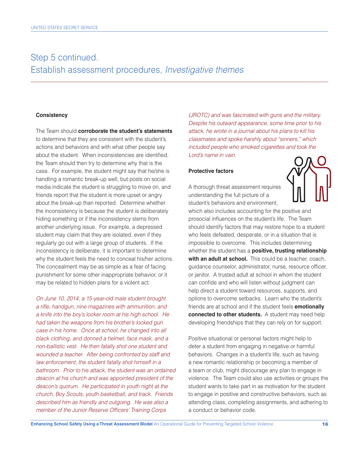## Step 5 continued. Establish assessment procedures, *Investigative themes*

#### **Consistency**

The Team should **corroborate the student's statements**  to determine that they are consistent with the student's actions and behaviors and with what other people say about the student. When inconsistencies are identifed, the Team should then try to determine why that is the case. For example, the student might say that he/she is handling a romantic break-up well, but posts on social media indicate the student is struggling to move on, and friends report that the student is more upset or angry about the break-up than reported. Determine whether the inconsistency is because the student is deliberately hiding something or if the inconsistency stems from another underlying issue. For example, a depressed student may claim that they are isolated, even if they regularly go out with a large group of students. If the inconsistency is deliberate, it is important to determine why the student feels the need to conceal his/her actions. The concealment may be as simple as a fear of facing punishment for some other inappropriate behavior, or it may be related to hidden plans for a violent act.

*On June 10, 2014, a 15-year-old male student brought a rife, handgun, nine magazines with ammunition, and a knife into the boy's locker room at his high school. He had taken the weapons from his brother's locked gun case in his home. Once at school, he changed into all black clothing, and donned a helmet, face mask, and a non-ballistic vest. He then fatally shot one student and wounded a teacher. After being confronted by staff and law enforcement, the student fatally shot himself in a bathroom. Prior to his attack, the student was an ordained deacon at his church and was appointed president of the deacon's quorum. He participated in youth night at the church, Boy Scouts, youth basketball, and track. Friends described him as friendly and outgoing. He was also a member of the Junior Reserve Officers' Training Corps* 

*(JROTC) and was fascinated with guns and the military. Despite his outward appearance, some time prior to his attack, he wrote in a journal about his plans to kill his classmates and spoke harshly about "sinners," which included people who smoked cigarettes and took the Lord's name in vain.* 

#### **Protective factors**

A thorough threat assessment requires understanding the full picture of a student's behaviors and environment,



 **with an adult at school.** This could be a teacher, coach,  **connected to other students.** A student may need help which also includes accounting for the positive and prosocial infuences on the student's life. The Team should identify factors that may restore hope to a student who feels defeated, desperate, or in a situation that is impossible to overcome. This includes determining whether the student has a **positive, trusting relationship**  guidance counselor, administrator, nurse, resource officer, or janitor. A trusted adult at school in whom the student can confde and who will listen without judgment can help direct a student toward resources, supports, and options to overcome setbacks. Learn who the student's friends are at school and if the student feels **emotionally**  developing friendships that they can rely on for support.

Positive situational or personal factors might help to deter a student from engaging in negative or harmful behaviors. Changes in a student's life, such as having a new romantic relationship or becoming a member of a team or club, might discourage any plan to engage in violence. The Team could also use activities or groups the student wants to take part in as motivation for the student to engage in positive and constructive behaviors, such as attending class, completing assignments, and adhering to a conduct or behavior code.

 $\overline{a}$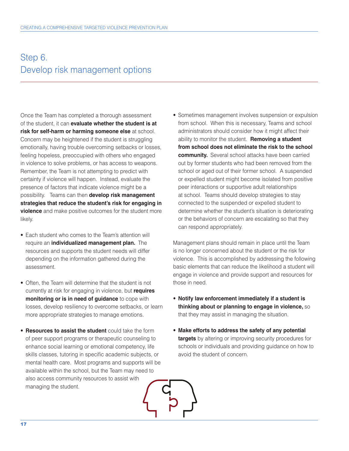# Step 6. Develop risk management options

Once the Team has completed a thorough assessment of the student, it can **evaluate whether the student is at risk for self-harm or harming someone else** at school. Concern may be heightened if the student is struggling emotionally, having trouble overcoming setbacks or losses, feeling hopeless, preoccupied with others who engaged in violence to solve problems, or has access to weapons. Remember, the Team is not attempting to predict with certainty if violence will happen. Instead, evaluate the presence of factors that indicate violence might be a possibility. Teams can then **develop risk management strategies that reduce the student's risk for engaging in violence** and make positive outcomes for the student more likely.

- require an **individualized management plan.** The • Each student who comes to the Team's attention will resources and supports the student needs will differ depending on the information gathered during the assessment.
- Often, the Team will determine that the student is not currently at risk for engaging in violence, but **requires monitoring or is in need of guidance** to cope with losses, develop resiliency to overcome setbacks, or learn more appropriate strategies to manage emotions.
- **Resources to assist the student** could take the form of peer support programs or therapeutic counseling to enhance social learning or emotional competency, life skills classes, tutoring in specific academic subjects, or mental health care. Most programs and supports will be available within the school, but the Team may need to also access community resources to assist with managing the student.
	-

 **community.** Several school attacks have been carried • Sometimes management involves suspension or expulsion from school. When this is necessary, Teams and school administrators should consider how it might affect their ability to monitor the student. **Removing a student from school does not eliminate the risk to the school**  out by former students who had been removed from the school or aged out of their former school. A suspended or expelled student might become isolated from positive peer interactions or supportive adult relationships at school. Teams should develop strategies to stay connected to the suspended or expelled student to determine whether the student's situation is deteriorating or the behaviors of concern are escalating so that they can respond appropriately.

Management plans should remain in place until the Team is no longer concerned about the student or the risk for violence. This is accomplished by addressing the following basic elements that can reduce the likelihood a student will engage in violence and provide support and resources for those in need.

- **Notify law enforcement immediately if a student is thinking about or planning to engage in violence,** so that they may assist in managing the situation.
- **Make efforts to address the safety of any potential targets** by altering or improving security procedures for schools or individuals and providing guidance on how to avoid the student of concern.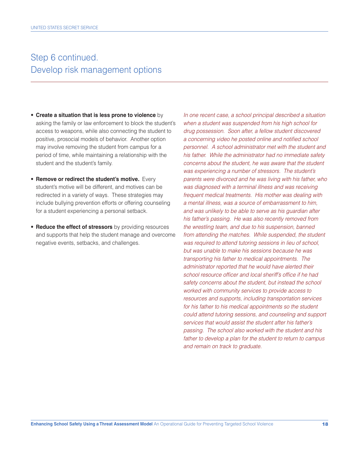### Step 6 continued. Develop risk management options

- **Create a situation that is less prone to violence** by asking the family or law enforcement to block the student's access to weapons, while also connecting the student to positive, prosocial models of behavior. Another option may involve removing the student from campus for a period of time, while maintaining a relationship with the student and the student's family.
- **Remove or redirect the student's motive.** Every student's motive will be different, and motives can be redirected in a variety of ways. These strategies may include bullying prevention efforts or offering counseling for a student experiencing a personal setback.
- **Reduce the effect of stressors** by providing resources and supports that help the student manage and overcome negative events, setbacks, and challenges.

*In one recent case, a school principal described a situation when a student was suspended from his high school for drug possession. Soon after, a fellow student discovered a concerning video he posted online and notifed school personnel. A school administrator met with the student and his father. While the administrator had no immediate safety concerns about the student, he was aware that the student was experiencing a number of stressors. The student's parents were divorced and he was living with his father, who was diagnosed with a terminal illness and was receiving frequent medical treatments. His mother was dealing with a mental illness, was a source of embarrassment to him, and was unlikely to be able to serve as his guardian after his father's passing. He was also recently removed from the wrestling team, and due to his suspension, banned from attending the matches. While suspended, the student was required to attend tutoring sessions in lieu of school, but was unable to make his sessions because he was transporting his father to medical appointments. The administrator reported that he would have alerted their*  school resource officer and local sheriff's office if he had *safety concerns about the student, but instead the school worked with community services to provide access to resources and supports, including transportation services for his father to his medical appointments so the student could attend tutoring sessions, and counseling and support services that would assist the student after his father's passing. The school also worked with the student and his father to develop a plan for the student to return to campus and remain on track to graduate.*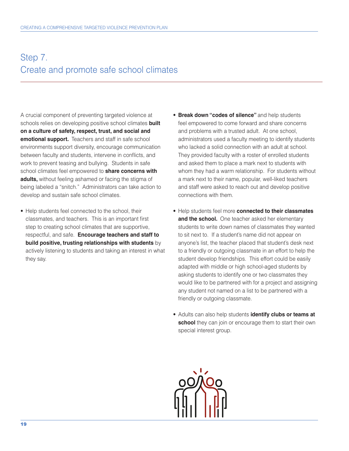# Step 7. Create and promote safe school climates

 **emotional support.** Teachers and staff in safe school A crucial component of preventing targeted violence at schools relies on developing positive school climates **built on a culture of safety, respect, trust, and social and**  environments support diversity, encourage communication between faculty and students, intervene in conficts, and work to prevent teasing and bullying. Students in safe school climates feel empowered to **share concerns with adults,** without feeling ashamed or facing the stigma of being labeled a "snitch." Administrators can take action to develop and sustain safe school climates.

- Help students feel connected to the school, their classmates, and teachers. This is an important first step to creating school climates that are supportive, respectful, and safe. **Encourage teachers and staff to build positive, trusting relationships with students** by actively listening to students and taking an interest in what they say.
- **Break down "codes of silence"** and help students feel empowered to come forward and share concerns and problems with a trusted adult. At one school, administrators used a faculty meeting to identify students who lacked a solid connection with an adult at school. They provided faculty with a roster of enrolled students and asked them to place a mark next to students with whom they had a warm relationship. For students without a mark next to their name, popular, well-liked teachers and staff were asked to reach out and develop positive connections with them.
- and the school. One teacher asked her elementary • Help students feel more **connected to their classmates**  students to write down names of classmates they wanted to sit next to. If a student's name did not appear on anyone's list, the teacher placed that student's desk next to a friendly or outgoing classmate in an effort to help the student develop friendships. This effort could be easily adapted with middle or high school-aged students by asking students to identify one or two classmates they would like to be partnered with for a project and assigning any student not named on a list to be partnered with a friendly or outgoing classmate.
- Adults can also help students **identify clubs or teams at school** they can join or encourage them to start their own special interest group.

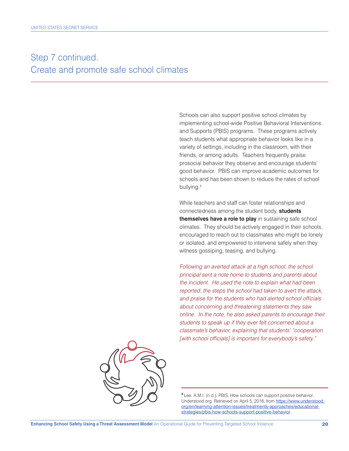# Step 7 continued. Create and promote safe school climates

Schools can also support positive school climates by implementing school-wide Positive Behavioral Interventions and Supports (PBIS) programs. These programs actively teach students what appropriate behavior looks like in a variety of settings, including in the classroom, with their friends, or among adults. Teachers frequently praise prosocial behavior they observe and encourage students' good behavior. PBIS can improve academic outcomes for schools and has been shown to reduce the rates of school bullying.4

While teachers and staff can foster relationships and connectedness among the student body, **students themselves have a role to play** in sustaining safe school climates. They should be actively engaged in their schools, encouraged to reach out to classmates who might be lonely or isolated, and empowered to intervene safely when they witness gossiping, teasing, and bullying.

*Following an averted attack at a high school, the school principal sent a note home to students and parents about the incident. He used the note to explain what had been reported, the steps the school had taken to avert the attack,*  and praise for the students who had alerted school officials *about concerning and threatening statements they saw online. In the note, he also asked parents to encourage their students to speak up if they ever felt concerned about a classmate's behavior, explaining that students' "cooperation*  [with school officials] is important for everybody's safety."



**<sup>4</sup>**Lee, A.M.I. (n.d.). PBIS: How schools can support positive behavior. Understood.org. Retrieved on April 5, 2018, from https://www.understood. org/en/learning-attention-issues/treatments-approaches/educationalstrategies/pbis-how-schools-support-positive-behavior.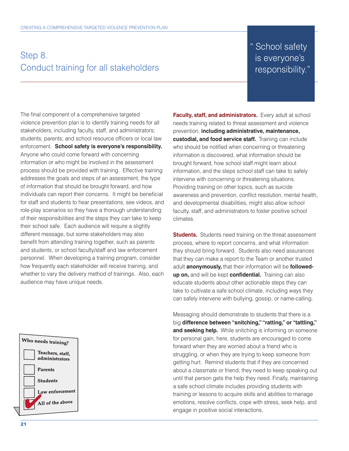### Step 8. Conduct training for all stakeholders

### " School safety is everyone's responsibility."

 enforcement. **School safety is everyone's responsibility.**  The final component of a comprehensive targeted violence prevention plan is to identify training needs for all stakeholders, including faculty, staff, and administrators; students; parents; and school resource officers or local law Anyone who could come forward with concerning information or who might be involved in the assessment process should be provided with training. Effective training addresses the goals and steps of an assessment, the type of information that should be brought forward, and how individuals can report their concerns. It might be beneficial for staff and students to hear presentations, see videos, and role-play scenarios so they have a thorough understanding of their responsibilities and the steps they can take to keep their school safe. Each audience will require a slightly different message, but some stakeholders may also benefit from attending training together, such as parents and students, or school faculty/staff and law enforcement personnel. When developing a training program, consider how frequently each stakeholder will receive training, and whether to vary the delivery method of trainings. Also, each audience may have unique needs.



**Faculty, staff, and administrators.** Every adult at school  **custodial, and food service staff.** Training can include needs training related to threat assessment and violence prevention, **including administrative, maintenance,**  who should be notified when concerning or threatening information is discovered, what information should be brought forward, how school staff might learn about information, and the steps school staff can take to safely intervene with concerning or threatening situations. Providing training on other topics, such as suicide awareness and prevention, confict resolution, mental health, and developmental disabilities, might also allow school faculty, staff, and administrators to foster positive school climates.

**Students.** Students need training on the threat assessment  **up on,** and will be kept **confdential.** Training can also process, where to report concerns, and what information they should bring forward. Students also need assurances that they can make a report to the Team or another trusted adult **anonymously,** that their information will be **followed**educate students about other actionable steps they can take to cultivate a safe school climate, including ways they can safely intervene with bullying, gossip, or name-calling.

**and seeking help.** While snitching is informing on someone Messaging should demonstrate to students that there is a big **difference between "snitching," "ratting," or "tattling,"**  for personal gain, here, students are encouraged to come forward when they are worried about a friend who is struggling, or when they are trying to keep someone from getting hurt. Remind students that if they are concerned about a classmate or friend, they need to keep speaking out until that person gets the help they need. Finally, maintaining a safe school climate includes providing students with training or lessons to acquire skills and abilities to manage emotions, resolve conficts, cope with stress, seek help, and engage in positive social interactions.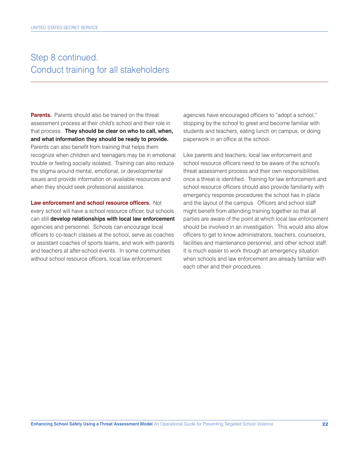### Step 8 continued. Conduct training for all stakeholders

**Parents.** Parents should also be trained on the threat  **and what information they should be ready to provide.** assessment process at their child's school and their role in that process. **They should be clear on who to call, when,**  Parents can also benefit from training that helps them recognize when children and teenagers may be in emotional trouble or feeling socially isolated. Training can also reduce the stigma around mental, emotional, or developmental issues and provide information on available resources and when they should seek professional assistance.

Law enforcement and school resource officers. Not every school will have a school resource officer, but schools can still **develop relationships with local law enforcement**  agencies and personnel. Schools can encourage local officers to co-teach classes at the school, serve as coaches or assistant coaches of sports teams, and work with parents and teachers at after-school events. In some communities without school resource officers, local law enforcement

agencies have encouraged officers to "adopt a school," stopping by the school to greet and become familiar with students and teachers, eating lunch on campus, or doing paperwork in an office at the school.

Like parents and teachers, local law enforcement and school resource officers need to be aware of the school's threat assessment process and their own responsibilities once a threat is identifed. Training for law enforcement and school resource officers should also provide familiarity with emergency response procedures the school has in place and the layout of the campus. Officers and school staff might benefit from attending training together so that all parties are aware of the point at which local law enforcement should be involved in an investigation. This would also allow officers to get to know administrators, teachers, counselors, facilities and maintenance personnel, and other school staff. It is much easier to work through an emergency situation when schools and law enforcement are already familiar with each other and their procedures.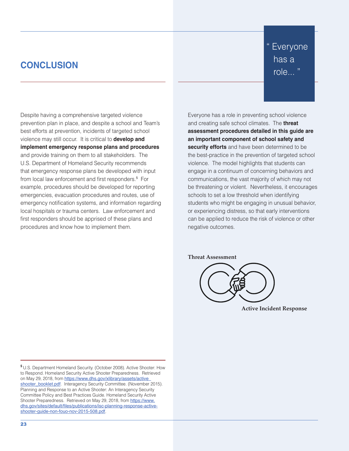### **CONCLUSION**

Despite having a comprehensive targeted violence prevention plan in place, and despite a school and Team's best efforts at prevention, incidents of targeted school violence may still occur. It is critical to **develop and implement emergency response plans and procedures**  and provide training on them to all stakeholders. The U.S. Department of Homeland Security recommends that emergency response plans be developed with input from local law enforcement and first responders.<sup>5</sup> For example, procedures should be developed for reporting emergencies, evacuation procedures and routes, use of emergency notification systems, and information regarding local hospitals or trauma centers. Law enforcement and first responders should be apprised of these plans and procedures and know how to implement them.

" Everyone has a role... "

Everyone has a role in preventing school violence and creating safe school climates. The **threat assessment procedures detailed in this guide are an important component of school safety and security efforts** and have been determined to be the best-practice in the prevention of targeted school violence. The model highlights that students can engage in a continuum of concerning behaviors and communications, the vast majority of which may not be threatening or violent. Nevertheless, it encourages schools to set a low threshold when identifying students who might be engaging in unusual behavior, or experiencing distress, so that early interventions can be applied to reduce the risk of violence or other negative outcomes.

#### **Threat Assessment**



**Active Incident Response** 

**<sup>5</sup>**U.S. Department Homeland Security. (October 2008). Active Shooter: How to Respond. Homeland Security Active Shooter Preparedness. Retrieved on May 29, 2018, from https://www.dhs.gov/xlibrary/assets/active shooter\_booklet.pdf. Interagency Security Committee. (November 2015). Planning and Response to an Active Shooter: An Interagency Security Committee Policy and Best Practices Guide. Homeland Security Active Shooter Preparedness. Retrieved on May 29, 2018, from https://www. dhs.gov/sites/default/files/publications/isc-planning-response-activeshooter-guide-non-fouo-nov-2015-508.pdf.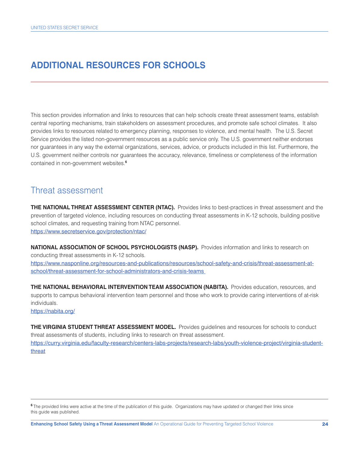### **ADDITIONAL RESOURCES FOR SCHOOLS**

 contained in non-government websites.**<sup>6</sup>** This section provides information and links to resources that can help schools create threat assessment teams, establish central reporting mechanisms, train stakeholders on assessment procedures, and promote safe school climates. It also provides links to resources related to emergency planning, responses to violence, and mental health. The U.S. Secret Service provides the listed non-government resources as a public service only. The U.S. government neither endorses nor guarantees in any way the external organizations, services, advice, or products included in this list. Furthermore, the U.S. government neither controls nor guarantees the accuracy, relevance, timeliness or completeness of the information

### Threat assessment

 **THE NATIONAL THREAT ASSESSMENT CENTER (NTAC).** Provides links to best-practices in threat assessment and the prevention of targeted violence, including resources on conducting threat assessments in K-12 schools, building positive school climates, and requesting training from NTAC personnel. https://www.secretservice.gov/protection/ntac/

 **NATIONAL ASSOCIATION OF SCHOOL PSYCHOLOGISTS (NASP).** Provides information and links to research on conducting threat assessments in K-12 schools.

https://www.nasponline.org/resources-and-publications/resources/school-safety-and-crisis/threat-assessment-atschool/threat-assessment-for-school-administrators-and-crisis-teams

 **THE NATIONAL BEHAVIORAL INTERVENTION TEAM ASSOCIATION (NABITA).** Provides education, resources, and supports to campus behavioral intervention team personnel and those who work to provide caring interventions of at-risk individuals.

https://nabita.org/

 **THE VIRGINIA STUDENT THREAT ASSESSMENT MODEL.** Provides guidelines and resources for schools to conduct threat assessments of students, including links to research on threat assessment. https://curry.virginia.edu/faculty-research/centers-labs-projects/research-labs/youth-violence-project/virginia-studentthreat

**<sup>6</sup>**The provided links were active at the time of the publication of this guide. Organizations may have updated or changed their links since this guide was published.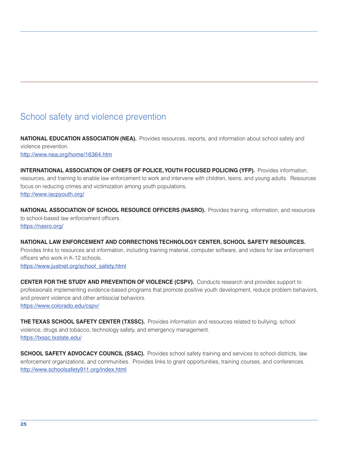### School safety and violence prevention

 **NATIONAL EDUCATION ASSOCIATION (NEA).** Provides resources, reports, and information about school safety and violence prevention. http://www.nea.org/home/16364.htm

 **INTERNATIONAL ASSOCIATION OF CHIEFS OF POLICE,YOUTH FOCUSED POLICING (YFP).** Provides information, resources, and training to enable law enforcement to work and intervene with children, teens, and young adults. Resources focus on reducing crimes and victimization among youth populations. http://www.iacpyouth.org/

 **NATIONAL ASSOCIATION OF SCHOOL RESOURCE OFFICERS (NASRO).** Provides training, information, and resources to school-based law enforcement officers. https://nasro.org/

 **NATIONAL LAW ENFORCEMENT AND CORRECTIONS TECHNOLOGY CENTER, SCHOOL SAFETY RESOURCES.** Provides links to resources and information, including training material, computer software, and videos for law enforcement officers who work in K-12 schools. https://www.justnet.org/school\_safety.html

 **CENTER FOR THE STUDY AND PREVENTION OF VIOLENCE (CSPV).** Conducts research and provides support to professionals implementing evidence-based programs that promote positive youth development, reduce problem behaviors, and prevent violence and other antisocial behaviors. https://www.colorado.edu/cspv/

 **THE TEXAS SCHOOL SAFETY CENTER (TXSSC).** Provides information and resources related to bullying, school violence, drugs and tobacco, technology safety, and emergency management. https://txssc.txstate.edu/

 **SCHOOL SAFETY ADVOCACY COUNCIL (SSAC).** Provides school safety training and services to school districts, law enforcement organizations, and communities. Provides links to grant opportunities, training courses, and conferences. http://www.schoolsafety911.org/index.html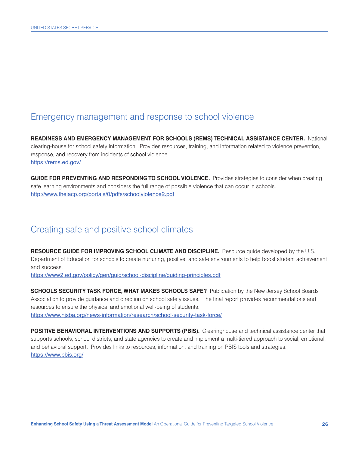### Emergency management and response to school violence

**READINESS AND EMERGENCY MANAGEMENT FOR SCHOOLS (REMS) TECHNICAL ASSISTANCE CENTER.** National clearing-house for school safety information. Provides resources, training, and information related to violence prevention, response, and recovery from incidents of school violence. https://rems.ed.gov/

 **GUIDE FOR PREVENTING AND RESPONDING TO SCHOOL VIOLENCE.** Provides strategies to consider when creating safe learning environments and considers the full range of possible violence that can occur in schools. http://www.theiacp.org/portals/0/pdfs/schoolviolence2.pdf

### Creating safe and positive school climates

 **RESOURCE GUIDE FOR IMPROVING SCHOOL CLIMATE AND DISCIPLINE.** Resource guide developed by the U.S. Department of Education for schools to create nurturing, positive, and safe environments to help boost student achievement and success.

https://www2.ed.gov/policy/gen/guid/school-discipline/guiding-principles.pdf

**SCHOOLS SECURITY TASK FORCE, WHAT MAKES SCHOOLS SAFE?** Publication by the New Jersey School Boards Association to provide guidance and direction on school safety issues. The fnal report provides recommendations and resources to ensure the physical and emotional well-being of students. https://www.njsba.org/news-information/research/school-security-task-force/

 **POSITIVE BEHAVIORAL INTERVENTIONS AND SUPPORTS (PBIS).** Clearinghouse and technical assistance center that supports schools, school districts, and state agencies to create and implement a multi-tiered approach to social, emotional, and behavioral support. Provides links to resources, information, and training on PBIS tools and strategies. https://www.pbis.org/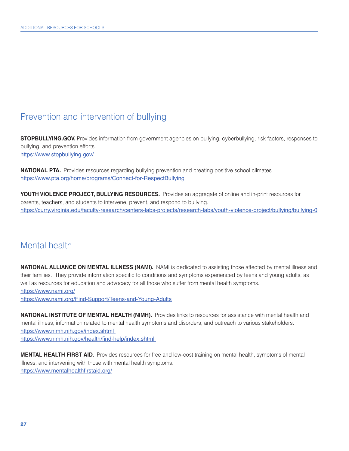### Prevention and intervention of bullying

**STOPBULLYING.GOV.** Provides information from government agencies on bullying, cyberbullying, risk factors, responses to bullying, and prevention efforts. https://www.stopbullying.gov/

**NATIONAL PTA.** Provides resources regarding bullying prevention and creating positive school climates. https://www.pta.org/home/programs/Connect-for-RespectBullying

 **YOUTH VIOLENCE PROJECT, BULLYING RESOURCES.** Provides an aggregate of online and in-print resources for parents, teachers, and students to intervene, prevent, and respond to bullying. https://curry.virginia.edu/faculty-research/centers-labs-projects/research-labs/youth-violence-project/bullying/bullying-0

### Mental health

 **NATIONAL ALLIANCE ON MENTAL ILLNESS (NAMI).** NAMI is dedicated to assisting those affected by mental illness and their families. They provide information specific to conditions and symptoms experienced by teens and young adults, as well as resources for education and advocacy for all those who suffer from mental health symptoms. https://www.nami.org/

https://www.nami.org/Find-Support/Teens-and-Young-Adults

 **NATIONAL INSTITUTE OF MENTAL HEALTH (NIMH).** Provides links to resources for assistance with mental health and mental illness, information related to mental health symptoms and disorders, and outreach to various stakeholders. https://www.nimh.nih.gov/index.shtml https://www.nimh.nih.gov/health/find-help/index.shtml

 **MENTAL HEALTH FIRST AID.** Provides resources for free and low-cost training on mental health, symptoms of mental illness, and intervening with those with mental health symptoms. https://www.mentalhealthfirstaid.org/